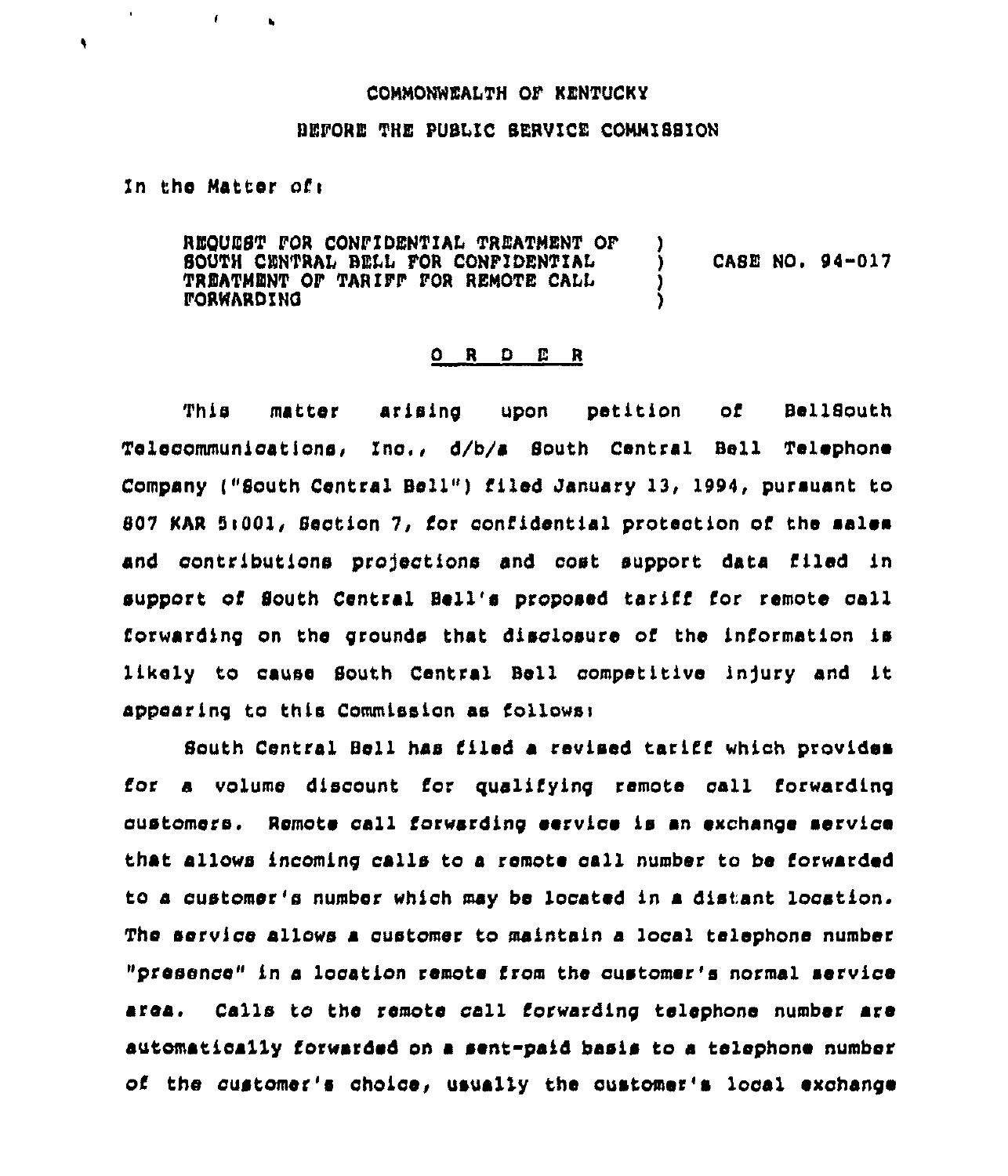## CONNONNEALTH OF KENTUCKY

## BEFORE THE PUBLIC SERVICE CONNISSION

In the Matter of:

 $\mathbf{r}$ 

 $\mathbf{r}$ 

 $\bullet$ 

REQUEST FOR CONFIDENTIAL TREATNENT OP CASE NO. 94-017 SOUTH CENTRAL BELL FOR CONFIDENTIAL ١ TREATNENT OF TARIFP POR RENOTE CALL *FORWARDING* 

## OR. D E R

This matter arising upon petition of Bel18outh Telecommunications, Ino,, d/b/a South Central Bell Telephone Company ("South Central Bell") filed January 13, 1994, pursuant to 807 KAR 5:001, Section 7, for confidential protection of the malem and contributions projections and cost support data filed in support of South Central Bell's proposed tariff for remote call forwarding on the grounds that disclosure of the information is likely to cause South Central Bell competitive injury and it appearing to this Commission as follows:

South Central Bell has filed a revised tariff which provides for a volume discount for qualifying remote call forwarding customers. Remote call forwarding service is an exchange service that allows incoming calls to a remote call number to be forwarded to a customer's number whioh may bs located in a distant location. Tho service allows a oustomer to maintain a local telephone number "presence" in a location remote from the customer's normal service area. Calls to the remote call forwarding telephone number are automatically forwarded on a sent-paid basis to a telephone number of the customer's choice, usually the customer's local exchange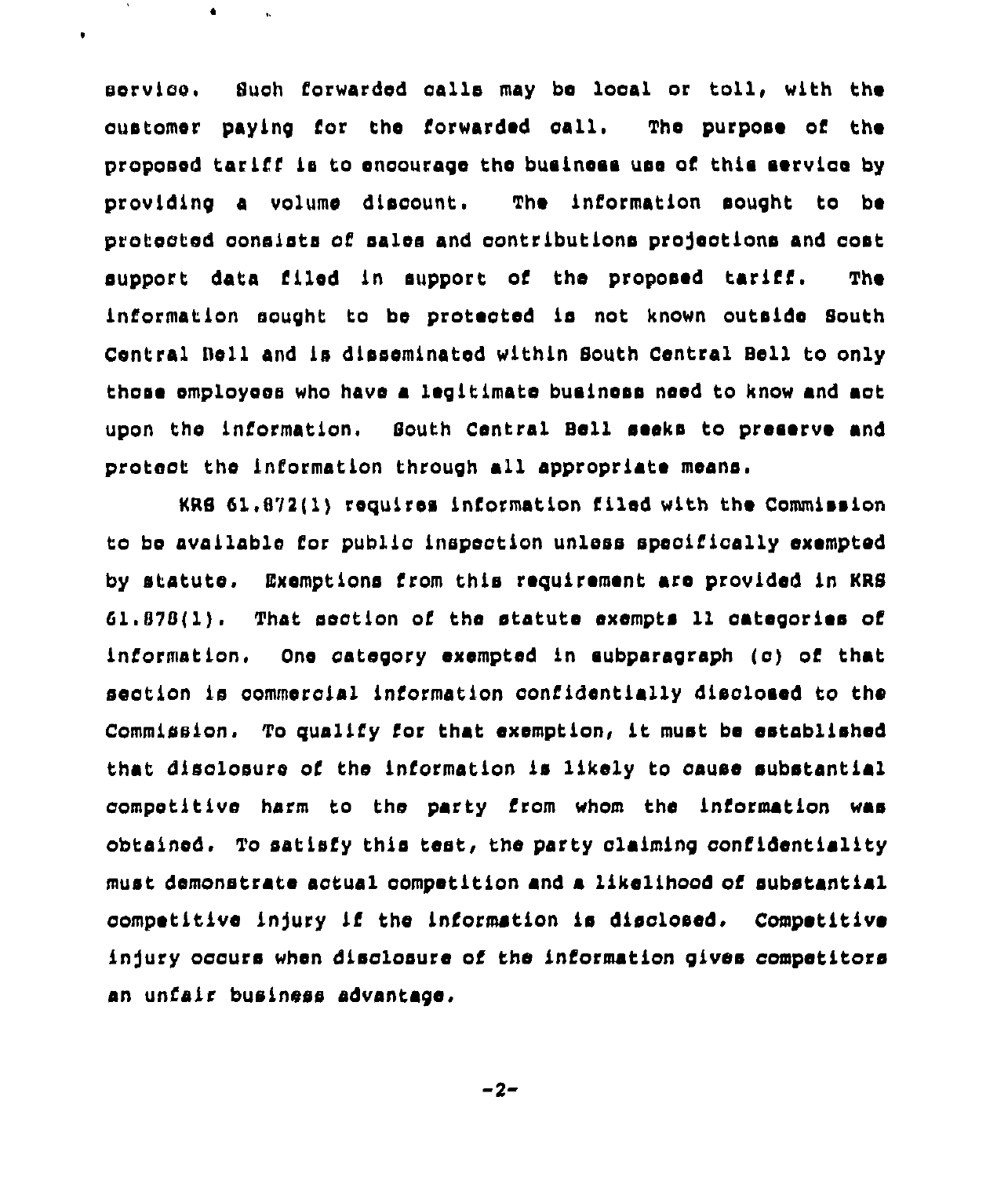Such forwarded calls may be local or toll, with the service. oustomer paying for the forwarded call. The purpose of the proposed tariff is to encourage the business use of this service by providing a volume discount. The information sought to be protected consists of sales and contributions projections and cost support data filed in support of the proposed tariff. **The** information sought to be protected is not known outside South Central Bell and is disseminated within South Central Bell to only those employees who have a legitimate business need to know and act upon the information. South Central Bell seeks to preserve and protect the information through all appropriate means.

 $\bullet$ 

 $\bullet$ 

KRS 61.872(1) requires information filed with the Commission to be available for public inspection unless specifically exempted by statute. Exemptions from this requirement are provided in KRS  $61.878(1)$ . That section of the statute exempts 11 categories of One category exempted in aubparagraph (c) of that information. section is commercial information confidentially disclosed to the Commission. To qualify for that exemption, it must be established that disclosure of the information is likely to cause substantial competitive harm to the party from whom the information was obtained. To satisfy this test, the party claiming confidentiality must demonstrate actual competition and a likelihood of substantial competitive injury if the information is disclosed. Competitive injury occurs when disclosure of the information gives competitors an unfair business advantage.

$$
-2-
$$